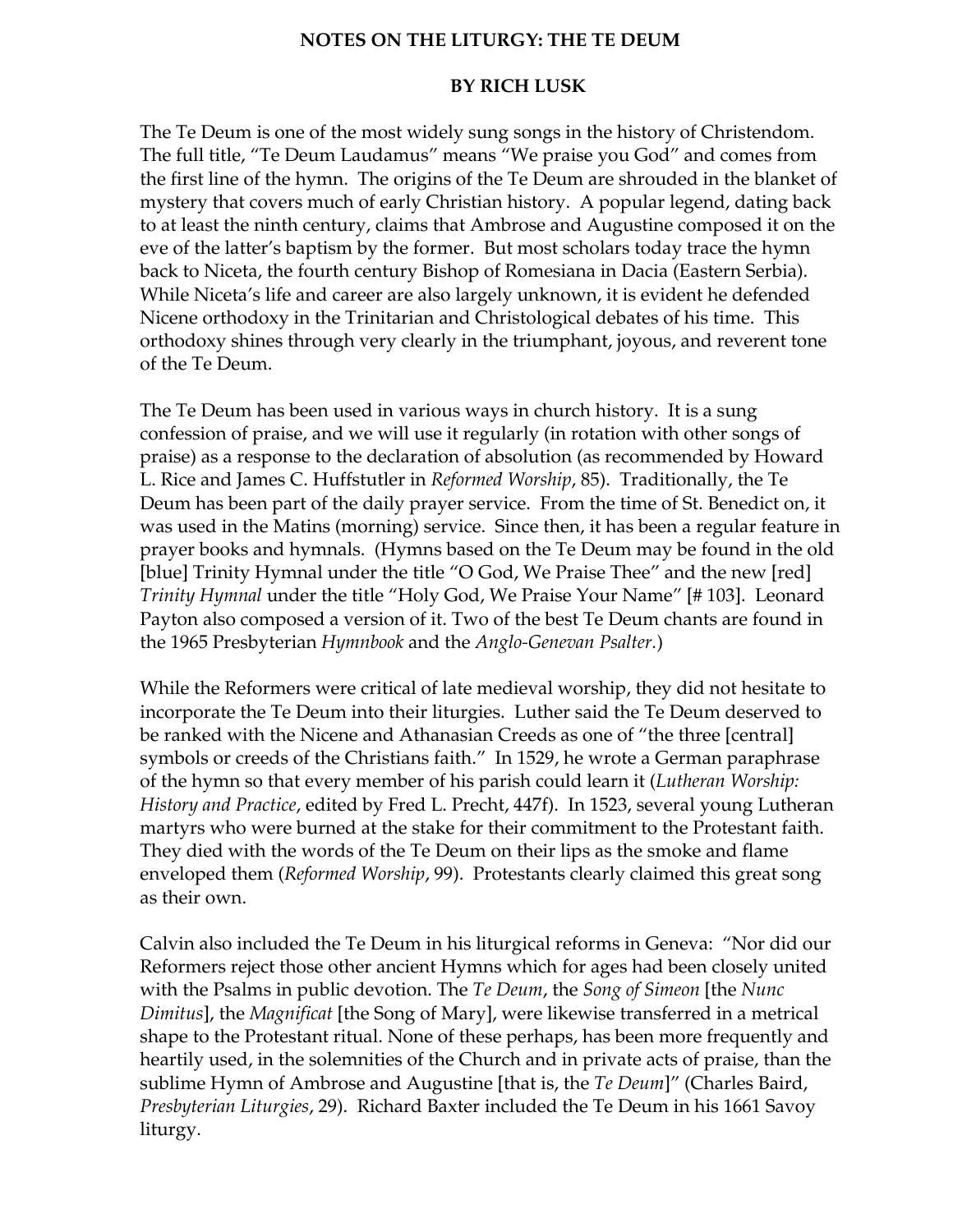## NOTES ON THE LITURGY: THE TE DEUM

## BY RICH LUSK

The Te Deum is one of the most widely sung songs in the history of Christendom. The full title, "Te Deum Laudamus" means "We praise you God" and comes from the first line of the hymn. The origins of the Te Deum are shrouded in the blanket of mystery that covers much of early Christian history. A popular legend, dating back to at least the ninth century, claims that Ambrose and Augustine composed it on the eve of the latter's baptism by the former. But most scholars today trace the hymn back to Niceta, the fourth century Bishop of Romesiana in Dacia (Eastern Serbia). While Niceta's life and career are also largely unknown, it is evident he defended Nicene orthodoxy in the Trinitarian and Christological debates of his time. This orthodoxy shines through very clearly in the triumphant, joyous, and reverent tone of the Te Deum.

The Te Deum has been used in various ways in church history. It is a sung confession of praise, and we will use it regularly (in rotation with other songs of praise) as a response to the declaration of absolution (as recommended by Howard L. Rice and James C. Huffstutler in *Reformed Worship*, 85). Traditionally, the Te Deum has been part of the daily prayer service. From the time of St. Benedict on, it was used in the Matins (morning) service. Since then, it has been a regular feature in prayer books and hymnals. (Hymns based on the Te Deum may be found in the old [blue] Trinity Hymnal under the title "O God, We Praise Thee" and the new [red] Trinity Hymnal under the title "Holy God, We Praise Your Name" [# 103]. Leonard Payton also composed a version of it. Two of the best Te Deum chants are found in the 1965 Presbyterian Hymnbook and the Anglo-Genevan Psalter.)

While the Reformers were critical of late medieval worship, they did not hesitate to incorporate the Te Deum into their liturgies. Luther said the Te Deum deserved to be ranked with the Nicene and Athanasian Creeds as one of "the three [central] symbols or creeds of the Christians faith." In 1529, he wrote a German paraphrase of the hymn so that every member of his parish could learn it (Lutheran Worship: History and Practice, edited by Fred L. Precht, 447f). In 1523, several young Lutheran martyrs who were burned at the stake for their commitment to the Protestant faith. They died with the words of the Te Deum on their lips as the smoke and flame enveloped them (Reformed Worship, 99). Protestants clearly claimed this great song as their own.

Calvin also included the Te Deum in his liturgical reforms in Geneva: "Nor did our Reformers reject those other ancient Hymns which for ages had been closely united with the Psalms in public devotion. The Te Deum, the Song of Simeon [the Nunc Dimitus], the Magnificat [the Song of Mary], were likewise transferred in a metrical shape to the Protestant ritual. None of these perhaps, has been more frequently and heartily used, in the solemnities of the Church and in private acts of praise, than the sublime Hymn of Ambrose and Augustine [that is, the Te Deum]" (Charles Baird, Presbyterian Liturgies, 29). Richard Baxter included the Te Deum in his 1661 Savoy liturgy.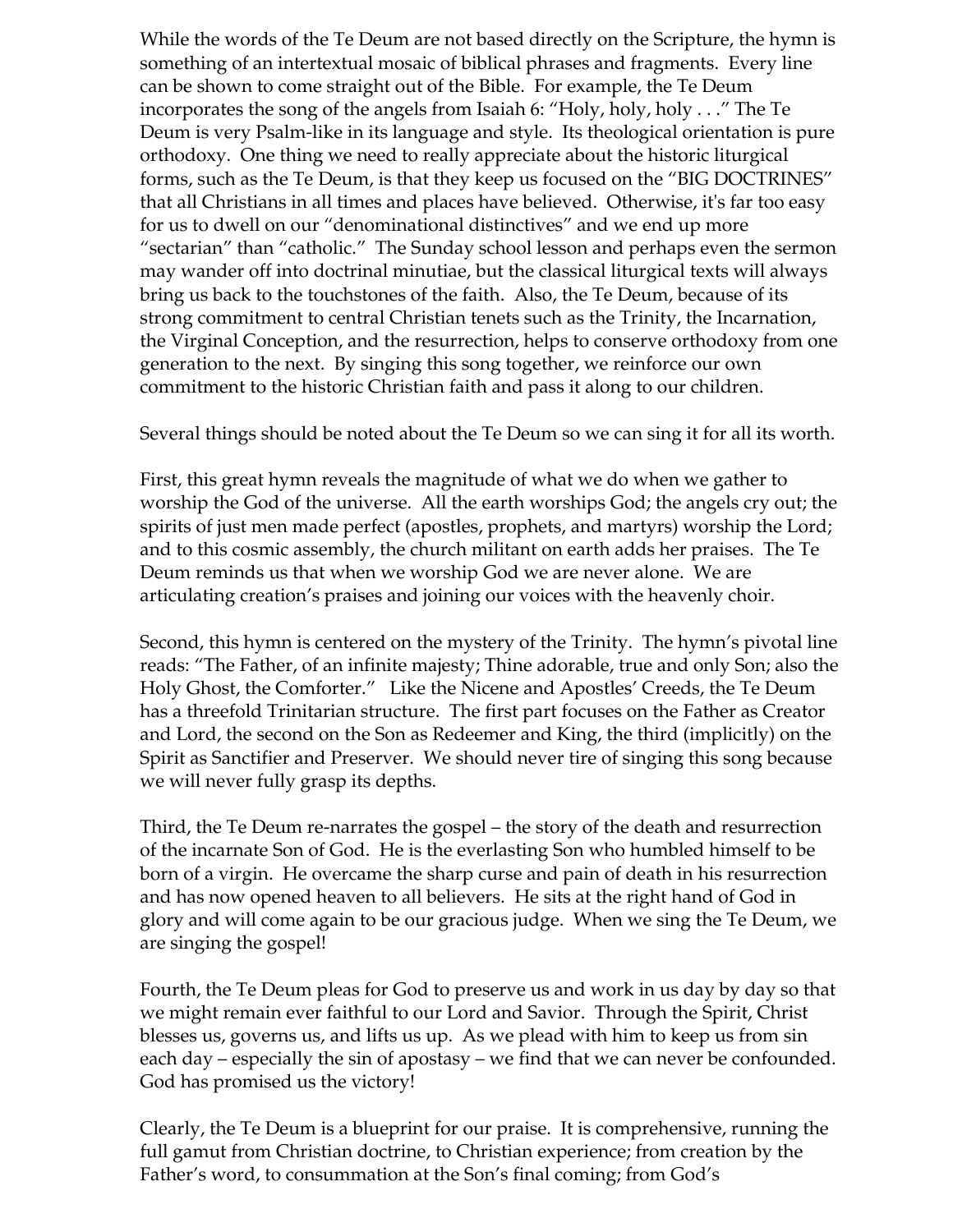While the words of the Te Deum are not based directly on the Scripture, the hymn is something of an intertextual mosaic of biblical phrases and fragments. Every line can be shown to come straight out of the Bible. For example, the Te Deum incorporates the song of the angels from Isaiah 6: "Holy, holy, holy . . ." The Te Deum is very Psalm-like in its language and style. Its theological orientation is pure orthodoxy. One thing we need to really appreciate about the historic liturgical forms, such as the Te Deum, is that they keep us focused on the "BIG DOCTRINES" that all Christians in all times and places have believed. Otherwise, it's far too easy for us to dwell on our "denominational distinctives" and we end up more "sectarian" than "catholic." The Sunday school lesson and perhaps even the sermon may wander off into doctrinal minutiae, but the classical liturgical texts will always bring us back to the touchstones of the faith. Also, the Te Deum, because of its strong commitment to central Christian tenets such as the Trinity, the Incarnation, the Virginal Conception, and the resurrection, helps to conserve orthodoxy from one generation to the next. By singing this song together, we reinforce our own commitment to the historic Christian faith and pass it along to our children.

Several things should be noted about the Te Deum so we can sing it for all its worth.

First, this great hymn reveals the magnitude of what we do when we gather to worship the God of the universe. All the earth worships God; the angels cry out; the spirits of just men made perfect (apostles, prophets, and martyrs) worship the Lord; and to this cosmic assembly, the church militant on earth adds her praises. The Te Deum reminds us that when we worship God we are never alone. We are articulating creation's praises and joining our voices with the heavenly choir.

Second, this hymn is centered on the mystery of the Trinity. The hymn's pivotal line reads: "The Father, of an infinite majesty; Thine adorable, true and only Son; also the Holy Ghost, the Comforter." Like the Nicene and Apostles' Creeds, the Te Deum has a threefold Trinitarian structure. The first part focuses on the Father as Creator and Lord, the second on the Son as Redeemer and King, the third (implicitly) on the Spirit as Sanctifier and Preserver. We should never tire of singing this song because we will never fully grasp its depths.

Third, the Te Deum re-narrates the gospel – the story of the death and resurrection of the incarnate Son of God. He is the everlasting Son who humbled himself to be born of a virgin. He overcame the sharp curse and pain of death in his resurrection and has now opened heaven to all believers. He sits at the right hand of God in glory and will come again to be our gracious judge. When we sing the Te Deum, we are singing the gospel!

Fourth, the Te Deum pleas for God to preserve us and work in us day by day so that we might remain ever faithful to our Lord and Savior. Through the Spirit, Christ blesses us, governs us, and lifts us up. As we plead with him to keep us from sin each day – especially the sin of apostasy – we find that we can never be confounded. God has promised us the victory!

Clearly, the Te Deum is a blueprint for our praise. It is comprehensive, running the full gamut from Christian doctrine, to Christian experience; from creation by the Father's word, to consummation at the Son's final coming; from God's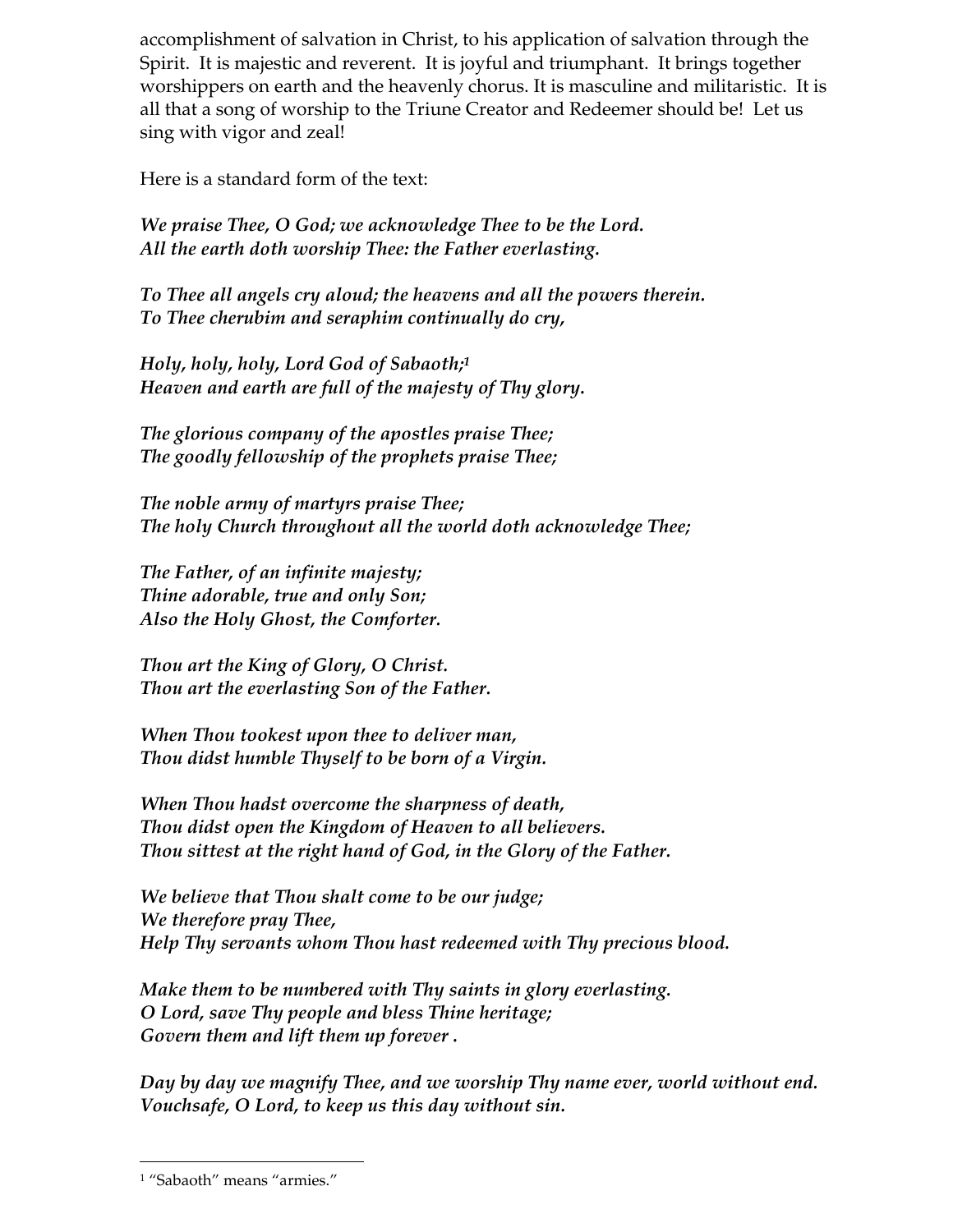accomplishment of salvation in Christ, to his application of salvation through the Spirit. It is majestic and reverent. It is joyful and triumphant. It brings together worshippers on earth and the heavenly chorus. It is masculine and militaristic. It is all that a song of worship to the Triune Creator and Redeemer should be! Let us sing with vigor and zeal!

Here is a standard form of the text:

We praise Thee, O God; we acknowledge Thee to be the Lord. All the earth doth worship Thee: the Father everlasting.

To Thee all angels cry aloud; the heavens and all the powers therein. To Thee cherubim and seraphim continually do cry,

Holy, holy, holy, Lord God of Sabaoth;<sup>1</sup> Heaven and earth are full of the majesty of Thy glory.

The glorious company of the apostles praise Thee; The goodly fellowship of the prophets praise Thee;

The noble army of martyrs praise Thee; The holy Church throughout all the world doth acknowledge Thee;

The Father, of an infinite majesty; Thine adorable, true and only Son; Also the Holy Ghost, the Comforter.

Thou art the King of Glory, O Christ. Thou art the everlasting Son of the Father.

When Thou tookest upon thee to deliver man, Thou didst humble Thyself to be born of a Virgin.

When Thou hadst overcome the sharpness of death, Thou didst open the Kingdom of Heaven to all believers. Thou sittest at the right hand of God, in the Glory of the Father.

We believe that Thou shalt come to be our judge; We therefore pray Thee, Help Thy servants whom Thou hast redeemed with Thy precious blood.

Make them to be numbered with Thy saints in glory everlasting. O Lord, save Thy people and bless Thine heritage; Govern them and lift them up forever .

Day by day we magnify Thee, and we worship Thy name ever, world without end. Vouchsafe, O Lord, to keep us this day without sin.

 $\overline{a}$ 

<sup>1</sup> "Sabaoth" means "armies."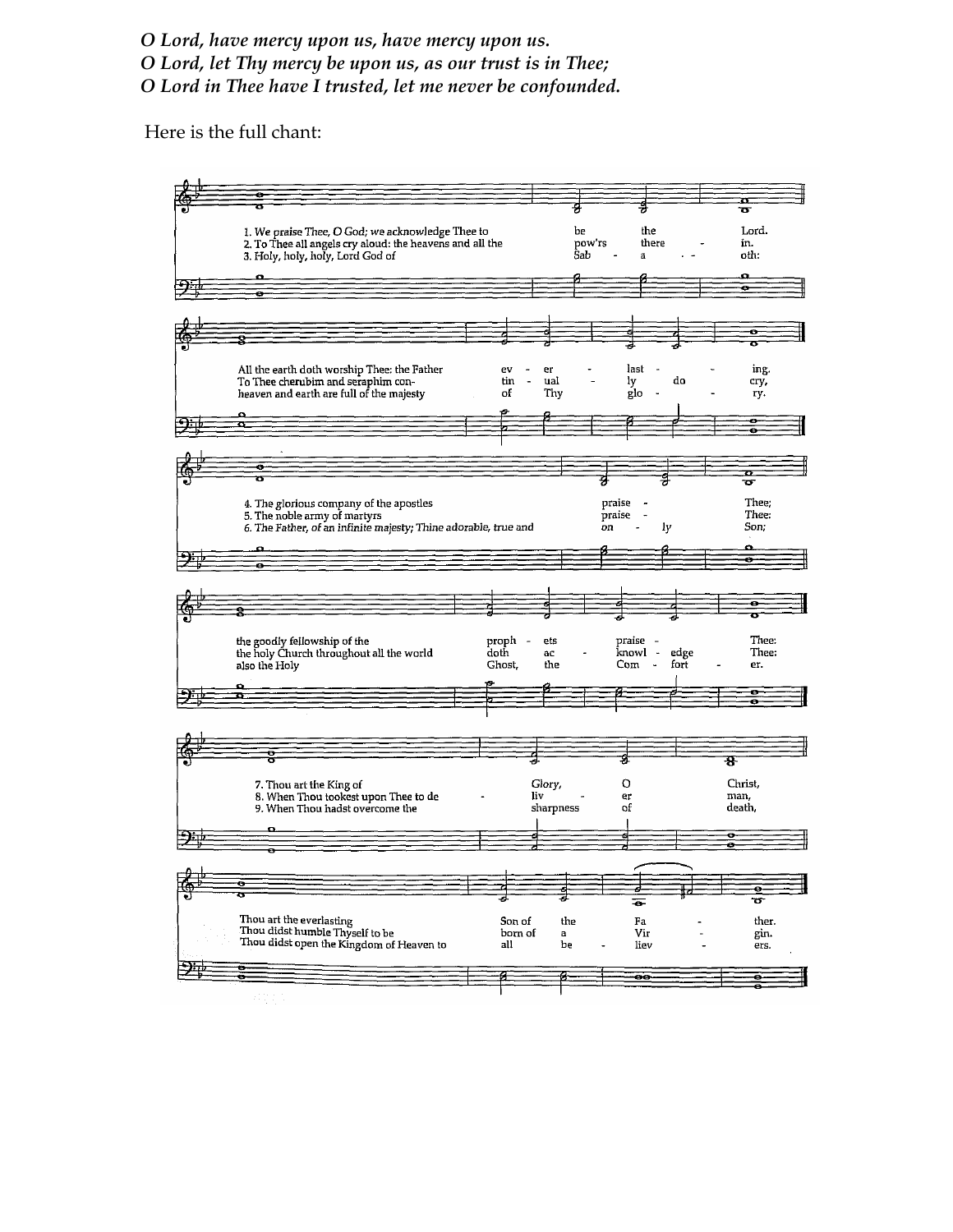O Lord, have mercy upon us, have mercy upon us.

O Lord, let Thy mercy be upon us, as our trust is in Thee;

O Lord in Thee have I trusted, let me never be confounded.

Here is the full chant: